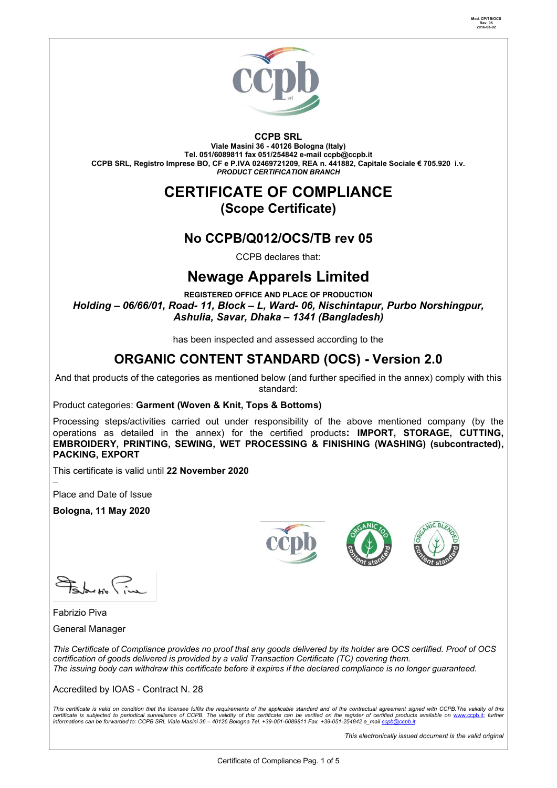

#### **CCPB SRL**

**Viale Masini 36 - 40126 Bologna (Italy) Tel. 051/6089811 fax 051/254842 e-mail [ccpb@ccpb.it](mailto:ccpb@ccpb.it) CCPB SRL, Registro Imprese BO, CF e P.IVA 02469721209, REA n. 441882, Capitale Sociale € 705.920 i.v.** *PRODUCT CERTIFICATION BRANCH*

#### **CERTIFICATE OF COMPLIANCE (Scope Certificate)**

#### **No CCPB/Q012/OCS/TB rev 05**

CCPB declares that:

## **Newage Apparels Limited**

**REGISTERED OFFICE AND PLACE OF PRODUCTION** *Holding – 06/66/01, Road- 11, Block – L, Ward- 06, Nischintapur, Purbo Norshingpur, Ashulia, Savar, Dhaka – 1341 (Bangladesh)*

has been inspected and assessed according to the

## **ORGANIC CONTENT STANDARD (OCS) - Version 2.0**

And that products of the categories as mentioned below (and further specified in the annex) comply with this standard:

Product categories: **Garment (Woven & Knit, Tops & Bottoms)**

Processing steps/activities carried out under responsibility of the above mentioned company (by the operations as detailed in the annex) for the certified products**: IMPORT, STORAGE, CUTTING, EMBROIDERY, PRINTING, SEWING, WET PROCESSING & FINISHING (WASHING) (subcontracted), PACKING, EXPORT**

This certificate is valid until **22 November 2020**

Place and Date of Issue

**Bologna, 11 May 2020**







 $P_{\text{abs}}$ 

Fabrizio Piva

General Manager

*This Certificate of Compliance provides no proof that any goods delivered by its holder are OCS certified. Proof of OCS certification of goods delivered is provided by a valid Transaction Certificate (TC) covering them. The issuing body can withdraw this certificate before it expires if the declared compliance is no longer guaranteed.*

Accredited by IOAS - Contract N. 28

This certificate is valid on condition that the licensee fulfils the requirements of the applicable standard and of the contractual agreement signed with CCPB.The validity of this<br>certificate is subjected to periodical sur

*This electronically issued document is the valid original*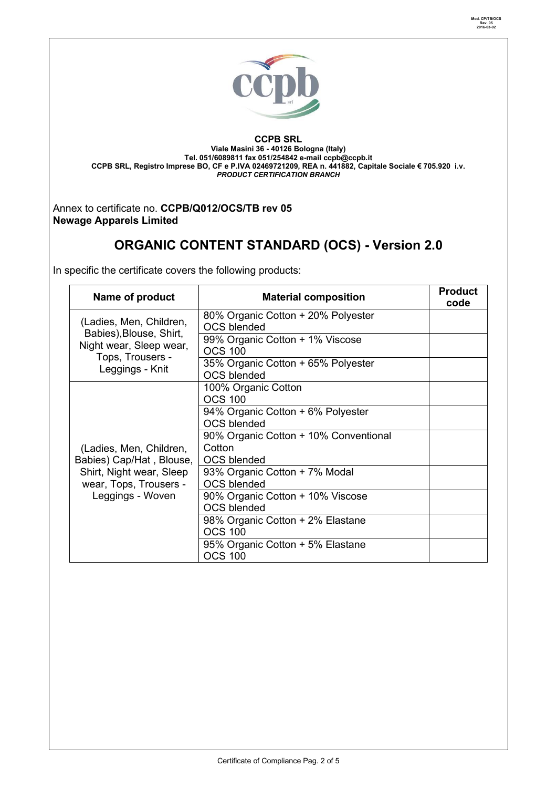

**CCPB SRL Viale Masini 36 - 40126 Bologna (Italy) Tel. 051/6089811 fax 051/254842 e-mail [ccpb@ccpb.it](mailto:ccpb@ccpb.it) CCPB SRL, Registro Imprese BO, CF e P.IVA 02469721209, REA n. 441882, Capitale Sociale € 705.920 i.v.** *PRODUCT CERTIFICATION BRANCH*

Annex to certificate no. **CCPB/Q012/OCS/TB rev 05 Newage Apparels Limited**

# **ORGANIC CONTENT STANDARD (OCS) - Version 2.0**

In specific the certificate covers the following products:

| Name of product                                                                                                               | <b>Material composition</b>                              | <b>Product</b><br>code |
|-------------------------------------------------------------------------------------------------------------------------------|----------------------------------------------------------|------------------------|
| (Ladies, Men, Children,<br>Babies), Blouse, Shirt,<br>Night wear, Sleep wear,<br>Tops, Trousers -<br>Leggings - Knit          | 80% Organic Cotton + 20% Polyester                       |                        |
|                                                                                                                               | <b>OCS blended</b>                                       |                        |
|                                                                                                                               | 99% Organic Cotton + 1% Viscose<br><b>OCS 100</b>        |                        |
|                                                                                                                               |                                                          |                        |
|                                                                                                                               | 35% Organic Cotton + 65% Polyester<br><b>OCS blended</b> |                        |
| (Ladies, Men, Children,<br>Babies) Cap/Hat, Blouse,<br>Shirt, Night wear, Sleep<br>wear, Tops, Trousers -<br>Leggings - Woven | 100% Organic Cotton                                      |                        |
|                                                                                                                               | <b>OCS 100</b>                                           |                        |
|                                                                                                                               | 94% Organic Cotton + 6% Polyester                        |                        |
|                                                                                                                               | <b>OCS blended</b>                                       |                        |
|                                                                                                                               | 90% Organic Cotton + 10% Conventional                    |                        |
|                                                                                                                               | Cotton                                                   |                        |
|                                                                                                                               | <b>OCS blended</b>                                       |                        |
|                                                                                                                               | 93% Organic Cotton + 7% Modal                            |                        |
|                                                                                                                               | <b>OCS blended</b>                                       |                        |
|                                                                                                                               | 90% Organic Cotton + 10% Viscose                         |                        |
|                                                                                                                               | <b>OCS blended</b>                                       |                        |
|                                                                                                                               | 98% Organic Cotton + 2% Elastane                         |                        |
|                                                                                                                               | <b>OCS 100</b>                                           |                        |
|                                                                                                                               | 95% Organic Cotton + 5% Elastane                         |                        |
|                                                                                                                               | <b>OCS 100</b>                                           |                        |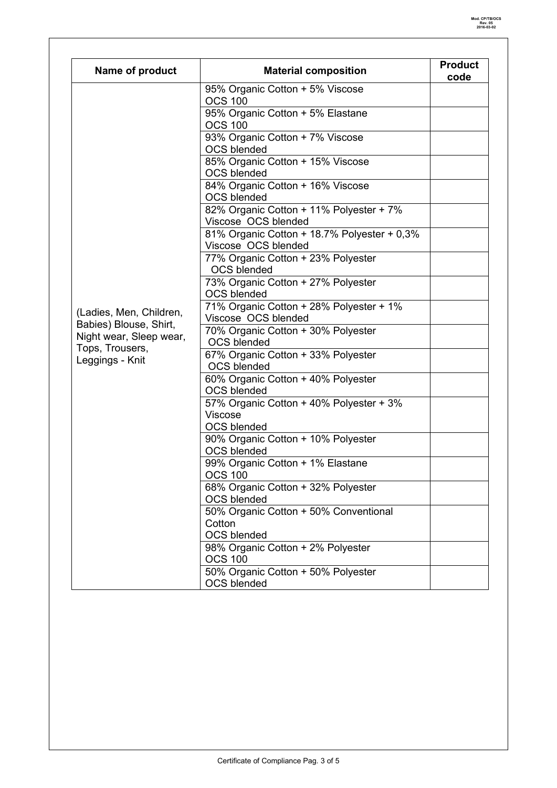| Name of product                                               | <b>Material composition</b>                         | <b>Product</b><br>code |
|---------------------------------------------------------------|-----------------------------------------------------|------------------------|
|                                                               | 95% Organic Cotton + 5% Viscose                     |                        |
|                                                               | <b>OCS 100</b>                                      |                        |
|                                                               | 95% Organic Cotton + 5% Elastane                    |                        |
|                                                               | <b>OCS 100</b>                                      |                        |
|                                                               | 93% Organic Cotton + 7% Viscose                     |                        |
|                                                               | <b>OCS blended</b>                                  |                        |
|                                                               | 85% Organic Cotton + 15% Viscose                    |                        |
|                                                               | <b>OCS blended</b>                                  |                        |
|                                                               | 84% Organic Cotton + 16% Viscose                    |                        |
|                                                               | <b>OCS blended</b>                                  |                        |
|                                                               | 82% Organic Cotton + 11% Polyester + 7%             |                        |
|                                                               | Viscose OCS blended                                 |                        |
|                                                               | 81% Organic Cotton + 18.7% Polyester + 0,3%         |                        |
|                                                               | Viscose OCS blended                                 |                        |
|                                                               | 77% Organic Cotton + 23% Polyester                  |                        |
|                                                               | <b>OCS blended</b>                                  |                        |
|                                                               | 73% Organic Cotton + 27% Polyester                  |                        |
|                                                               | <b>OCS blended</b>                                  |                        |
| (Ladies, Men, Children,                                       | 71% Organic Cotton + 28% Polyester + 1%             |                        |
| Babies) Blouse, Shirt,                                        | Viscose OCS blended                                 |                        |
| Night wear, Sleep wear,<br>Tops, Trousers,<br>Leggings - Knit | 70% Organic Cotton + 30% Polyester                  |                        |
|                                                               | <b>OCS blended</b>                                  |                        |
|                                                               | 67% Organic Cotton + 33% Polyester                  |                        |
|                                                               | <b>OCS blended</b>                                  |                        |
|                                                               | 60% Organic Cotton + 40% Polyester                  |                        |
|                                                               | <b>OCS blended</b>                                  |                        |
|                                                               | 57% Organic Cotton + 40% Polyester + 3%             |                        |
|                                                               | Viscose                                             |                        |
|                                                               | <b>OCS blended</b>                                  |                        |
|                                                               | 90% Organic Cotton + 10% Polyester                  |                        |
|                                                               | <b>OCS blended</b>                                  |                        |
|                                                               | 99% Organic Cotton + 1% Elastane                    |                        |
|                                                               | <b>OCS 100</b>                                      |                        |
|                                                               | 68% Organic Cotton + 32% Polyester                  |                        |
|                                                               | <b>OCS blended</b>                                  |                        |
|                                                               | 50% Organic Cotton + 50% Conventional               |                        |
|                                                               | Cotton<br><b>OCS blended</b>                        |                        |
|                                                               |                                                     |                        |
|                                                               | 98% Organic Cotton + 2% Polyester<br><b>OCS 100</b> |                        |
|                                                               | 50% Organic Cotton + 50% Polyester                  |                        |
|                                                               | <b>OCS blended</b>                                  |                        |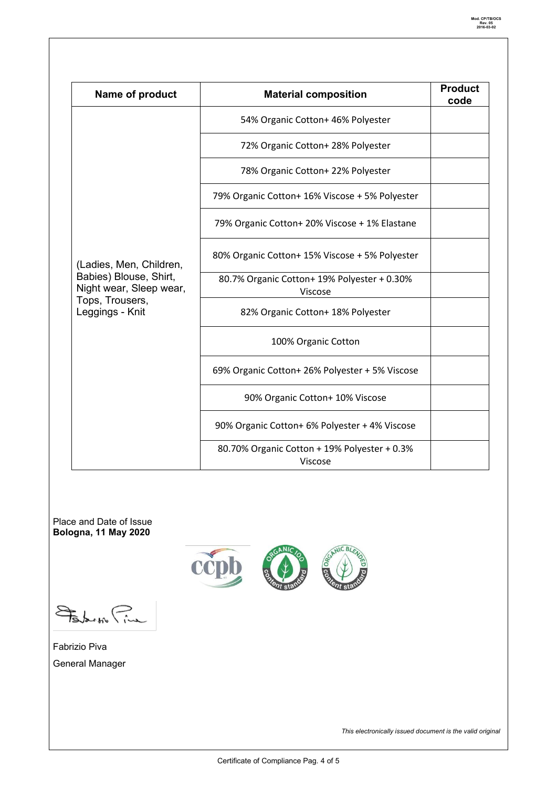| Name of product                                                                                                    | <b>Material composition</b>                             | <b>Product</b><br>code |
|--------------------------------------------------------------------------------------------------------------------|---------------------------------------------------------|------------------------|
| (Ladies, Men, Children,<br>Babies) Blouse, Shirt,<br>Night wear, Sleep wear,<br>Tops, Trousers,<br>Leggings - Knit | 54% Organic Cotton+ 46% Polyester                       |                        |
|                                                                                                                    | 72% Organic Cotton+ 28% Polyester                       |                        |
|                                                                                                                    | 78% Organic Cotton+ 22% Polyester                       |                        |
|                                                                                                                    | 79% Organic Cotton+ 16% Viscose + 5% Polyester          |                        |
|                                                                                                                    | 79% Organic Cotton+ 20% Viscose + 1% Elastane           |                        |
|                                                                                                                    | 80% Organic Cotton+ 15% Viscose + 5% Polyester          |                        |
|                                                                                                                    | 80.7% Organic Cotton+ 19% Polyester + 0.30%<br>Viscose  |                        |
|                                                                                                                    | 82% Organic Cotton+ 18% Polyester                       |                        |
|                                                                                                                    | 100% Organic Cotton                                     |                        |
|                                                                                                                    | 69% Organic Cotton+ 26% Polyester + 5% Viscose          |                        |
|                                                                                                                    | 90% Organic Cotton+ 10% Viscose                         |                        |
|                                                                                                                    | 90% Organic Cotton+ 6% Polyester + 4% Viscose           |                        |
|                                                                                                                    | 80.70% Organic Cotton + 19% Polyester + 0.3%<br>Viscose |                        |

Place and Date of Issue **Bologna, 11 May 2020**



Solar to Pine

Fabrizio Piva General Manager

*This electronically issued document is the valid original*